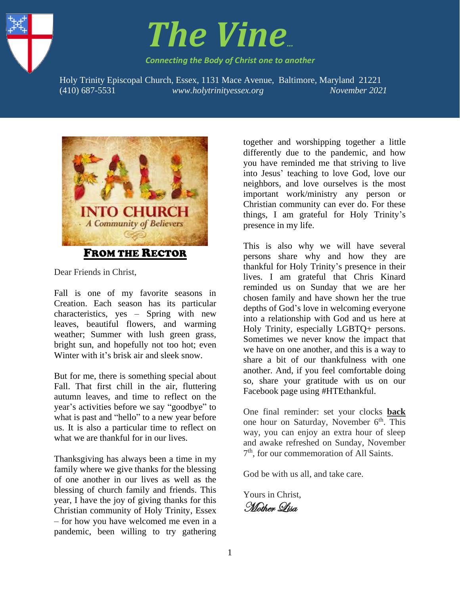



Holy Trinity Episcopal Church, Essex, 1131 Mace Avenue, Baltimore, Maryland 21221 1. (410) 687-5531 *www.holytrinityessex.org November 2021*



FROM THE RECTOR

Dear Friends in Christ,

Fall is one of my favorite seasons in Creation. Each season has its particular characteristics, yes – Spring with new leaves, beautiful flowers, and warming weather; Summer with lush green grass, bright sun, and hopefully not too hot; even Winter with it's brisk air and sleek snow.

But for me, there is something special about Fall. That first chill in the air, fluttering autumn leaves, and time to reflect on the year's activities before we say "goodbye" to what is past and "hello" to a new year before us. It is also a particular time to reflect on what we are thankful for in our lives.

Thanksgiving has always been a time in my family where we give thanks for the blessing of one another in our lives as well as the blessing of church family and friends. This year, I have the joy of giving thanks for this Christian community of Holy Trinity, Essex – for how you have welcomed me even in a pandemic, been willing to try gathering

together and worshipping together a little differently due to the pandemic, and how you have reminded me that striving to live into Jesus' teaching to love God, love our neighbors, and love ourselves is the most important work/ministry any person or Christian community can ever do. For these things, I am grateful for Holy Trinity's presence in my life.

This is also why we will have several persons share why and how they are thankful for Holy Trinity's presence in their lives. I am grateful that Chris Kinard reminded us on Sunday that we are her chosen family and have shown her the true depths of God's love in welcoming everyone into a relationship with God and us here at Holy Trinity, especially LGBTQ+ persons. Sometimes we never know the impact that we have on one another, and this is a way to share a bit of our thankfulness with one another. And, if you feel comfortable doing so, share your gratitude with us on our Facebook page using #HTEthankful.

One final reminder: set your clocks **back** one hour on Saturday, November  $6<sup>th</sup>$ . This way, you can enjoy an extra hour of sleep and awake refreshed on Sunday, November 7<sup>th</sup>, for our commemoration of All Saints.

God be with us all, and take care.

Yours in Christ, Mother Lisa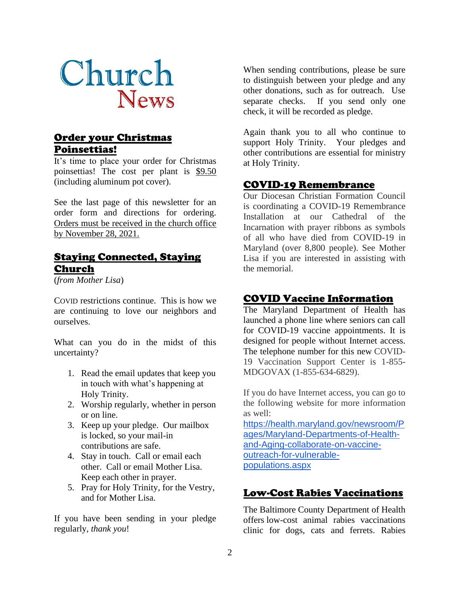

## Order your Christmas Poinsettias!

It's time to place your order for Christmas poinsettias! The cost per plant is \$9.50 (including aluminum pot cover).

See the last page of this newsletter for an order form and directions for ordering. Orders must be received in the church office by November 28, 2021.

## Staying Connected, Staying Church

(*from Mother Lisa*)

COVID restrictions continue. This is how we are continuing to love our neighbors and ourselves.

What can you do in the midst of this uncertainty?

- 1. Read the email updates that keep you in touch with what's happening at Holy Trinity.
- 2. Worship regularly, whether in person or on line.
- 3. Keep up your pledge. Our mailbox is locked, so your mail-in contributions are safe.
- 4. Stay in touch. Call or email each other. Call or email Mother Lisa. Keep each other in prayer.
- 5. Pray for Holy Trinity, for the Vestry, and for Mother Lisa.

If you have been sending in your pledge regularly, *thank you*!

When sending contributions, please be sure to distinguish between your pledge and any other donations, such as for outreach. Use separate checks. If you send only one check, it will be recorded as pledge.

Again thank you to all who continue to support Holy Trinity. Your pledges and other contributions are essential for ministry at Holy Trinity.

## COVID-19 Remembrance

Our Diocesan Christian Formation Council is coordinating a COVID-19 Remembrance Installation at our Cathedral of the Incarnation with prayer ribbons as symbols of all who have died from COVID-19 in Maryland (over 8,800 people). See Mother Lisa if you are interested in assisting with the memorial.

## COVID Vaccine Information

The Maryland Department of Health has launched a phone line where seniors can call for COVID-19 vaccine appointments. It is designed for people without Internet access. The telephone number for this new COVID-19 Vaccination Support Center is 1-855- MDGOVAX (1-855-634-6829).

If you do have Internet access, you can go to the following website for more information as well:

[https://health.maryland.gov/newsroom/P](https://health.maryland.gov/newsroom/Pages/Maryland-Departments-of-Health-and-Aging-collaborate-on-vaccine-outreach-for-vulnerable-populations.aspx) [ages/Maryland-Departments-of-Health](https://health.maryland.gov/newsroom/Pages/Maryland-Departments-of-Health-and-Aging-collaborate-on-vaccine-outreach-for-vulnerable-populations.aspx)[and-Aging-collaborate-on-vaccine](https://health.maryland.gov/newsroom/Pages/Maryland-Departments-of-Health-and-Aging-collaborate-on-vaccine-outreach-for-vulnerable-populations.aspx)[outreach-for-vulnerable](https://health.maryland.gov/newsroom/Pages/Maryland-Departments-of-Health-and-Aging-collaborate-on-vaccine-outreach-for-vulnerable-populations.aspx)[populations.aspx](https://health.maryland.gov/newsroom/Pages/Maryland-Departments-of-Health-and-Aging-collaborate-on-vaccine-outreach-for-vulnerable-populations.aspx)

## Low-Cost Rabies Vaccinations

The Baltimore County Department of Health offers low-cost animal rabies vaccinations clinic for dogs, cats and ferrets. Rabies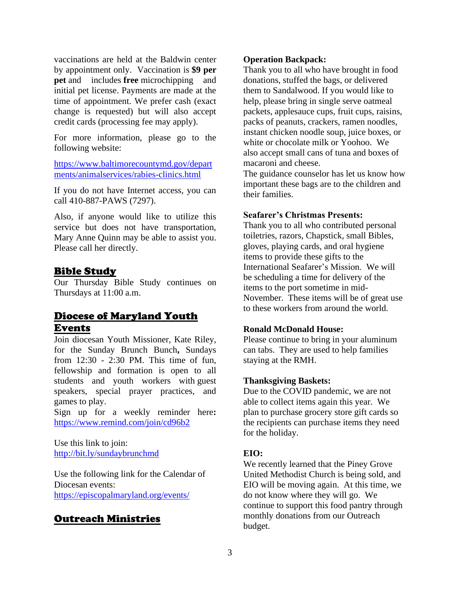vaccinations are held at the Baldwin center by appointment only. Vaccination is **\$9 per pet** and includes **free** microchipping and initial pet license. Payments are made at the time of appointment. We prefer cash (exact change is requested) but will also accept credit cards (processing fee may apply).

For more information, please go to the following website:

[https://www.baltimorecountymd.gov/depart](https://www.baltimorecountymd.gov/departments/animalservices/rabies-clinics.html) [ments/animalservices/rabies-clinics.html](https://www.baltimorecountymd.gov/departments/animalservices/rabies-clinics.html)

If you do not have Internet access, you can call 410-887-PAWS (7297).

Also, if anyone would like to utilize this service but does not have transportation, Mary Anne Quinn may be able to assist you. Please call her directly.

#### Bible Study

Our Thursday Bible Study continues on Thursdays at 11:00 a.m.

## Diocese of Maryland Youth Events

Join diocesan Youth Missioner, Kate Riley, for the Sunday Brunch Bunch**,** Sundays from 12:30 - 2:30 PM. This time of fun, fellowship and formation is open to all students and youth workers with guest speakers, special prayer practices, and games to play.

[Sign up for a weekly reminder here](https://episcopalmaryland.us11.list-manage.com/track/click?u=2f9dd94cde317640f66fe3a86&id=d759922ddc&e=6de4fcfe6d)**:**  <https://www.remind.com/join/cd96b2>

Use this link to join: <http://bit.ly/sundaybrunchmd>

Use the following link for the Calendar of Diocesan events: <https://episcopalmaryland.org/events/>

## Outreach Ministries

#### **Operation Backpack:**

Thank you to all who have brought in food donations, stuffed the bags, or delivered them to Sandalwood. If you would like to help, please bring in single serve oatmeal packets, applesauce cups, fruit cups, raisins, packs of peanuts, crackers, ramen noodles, instant chicken noodle soup, juice boxes, or white or chocolate milk or Yoohoo. We also accept small cans of tuna and boxes of macaroni and cheese.

The guidance counselor has let us know how important these bags are to the children and their families.

#### **Seafarer's Christmas Presents:**

Thank you to all who contributed personal toiletries, razors, Chapstick, small Bibles, gloves, playing cards, and oral hygiene items to provide these gifts to the International Seafarer's Mission. We will be scheduling a time for delivery of the items to the port sometime in mid-November. These items will be of great use to these workers from around the world.

#### **Ronald McDonald House:**

Please continue to bring in your aluminum can tabs. They are used to help families staying at the RMH.

#### **Thanksgiving Baskets:**

Due to the COVID pandemic, we are not able to collect items again this year. We plan to purchase grocery store gift cards so the recipients can purchase items they need for the holiday.

#### **EIO:**

We recently learned that the Piney Grove United Methodist Church is being sold, and EIO will be moving again. At this time, we do not know where they will go. We continue to support this food pantry through monthly donations from our Outreach budget.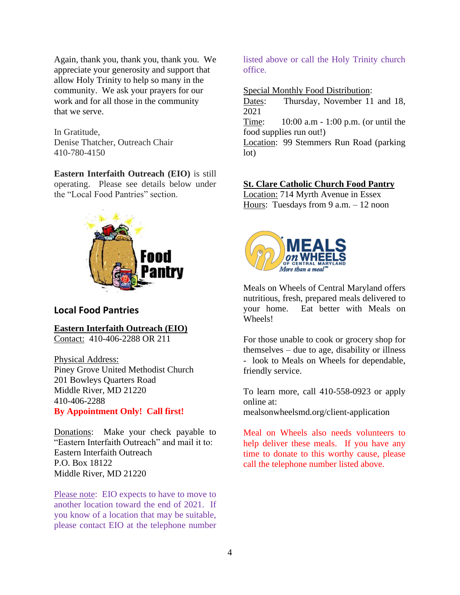Again, thank you, thank you, thank you. We appreciate your generosity and support that allow Holy Trinity to help so many in the community. We ask your prayers for our work and for all those in the community that we serve.

In Gratitude, Denise Thatcher, Outreach Chair 410-780-4150

**Eastern Interfaith Outreach (EIO)** is still operating. Please see details below under the "Local Food Pantries" section.



### **Local Food Pantries**

**Eastern Interfaith Outreach (EIO)**

Contact: 410-406-2288 OR 211

Physical Address: Piney Grove United Methodist Church 201 Bowleys Quarters Road Middle River, MD 21220 410-406-2288 **By Appointment Only! Call first!**

Donations: Make your check payable to "Eastern Interfaith Outreach" and mail it to: Eastern Interfaith Outreach P.O. Box 18122 Middle River, MD 21220

Please note: EIO expects to have to move to another location toward the end of 2021. If you know of a location that may be suitable, please contact EIO at the telephone number listed above or call the Holy Trinity church office.

Special Monthly Food Distribution:

Dates: Thursday, November 11 and 18, 2021

Time: 10:00 a.m - 1:00 p.m. (or until the food supplies run out!)

Location: 99 Stemmers Run Road (parking lot)

#### **St. Clare Catholic Church Food Pantry**

Location: 714 Myrth Avenue in Essex Hours: Tuesdays from 9 a.m.  $-12$  noon



Meals on Wheels of Central Maryland offers nutritious, fresh, prepared meals delivered to your home. Eat better with Meals on Wheels!

For those unable to cook or grocery shop for themselves – due to age, disability or illness - look to Meals on Wheels for dependable, friendly service.

To learn more, call 410-558-0923 or apply online at: mealsonwheelsmd.org/client-application

Meal on Wheels also needs volunteers to help deliver these meals. If you have any time to donate to this worthy cause, please call the telephone number listed above.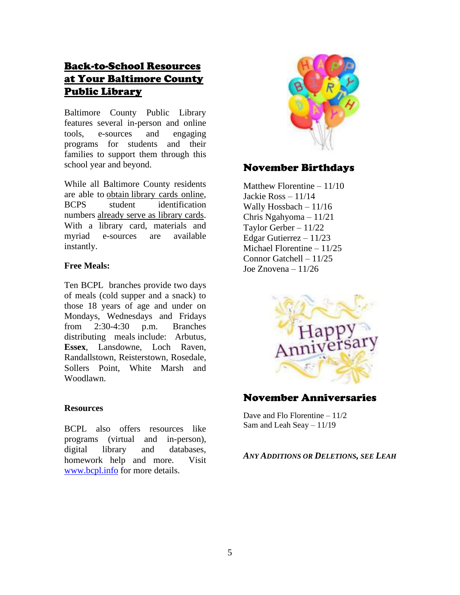## Back-to-School Resources at Your Baltimore County Public Library

Baltimore County Public Library features several in-person and online tools, e-sources and engaging programs for students and their families to support them through this school year and beyond.

While all Baltimore County residents are able to obtain [library cards online,](https://bcpl.us9.list-manage.com/track/click?u=01e1c2d84a1b04d28b71994e0&id=fe6c0063ec&e=a7280a4647) BCPS student identification numbers [already serve as library cards.](https://bcpl.us9.list-manage.com/track/click?u=01e1c2d84a1b04d28b71994e0&id=ce669448c8&e=a7280a4647) With a library card, materials and myriad e-sources are available instantly.

#### **Free Meals:**

Ten BCPL branches provide two days of meals (cold supper and a snack) to those 18 years of age and under on Mondays, Wednesdays and Fridays from 2:30-4:30 p.m. Branches distributing meals include: Arbutus, **Essex**, Lansdowne, Loch Raven, Randallstown, Reisterstown, Rosedale, Sollers Point, White Marsh and Woodlawn.

#### **Resources**

BCPL also offers resources like programs (virtual and in-person), digital library and databases, homework help and more. Visit [www.bcpl.info](http://www.bcpl.info/) for more details.



## November Birthdays

Matthew Florentine – 11/10 Jackie Ross – 11/14 Wally Hossbach – 11/16 Chris Ngahyoma – 11/21 Taylor Gerber – 11/22 Edgar Gutierrez – 11/23 Michael Florentine – 11/25 Connor Gatchell – 11/25 Joe Znovena – 11/26



## November Anniversaries

Dave and Flo Florentine – 11/2 Sam and Leah Seay – 11/19

*ANY ADDITIONS OR DELETIONS, SEE LEAH*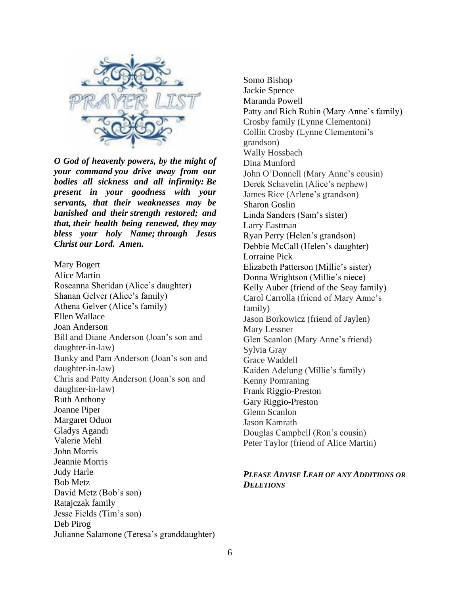

*O God of heavenly powers, by the might of your command you drive away from our bodies all sickness and all infirmity: Be present in your goodness with your servants, that their weaknesses may be banished and their strength restored; and that, their health being renewed, they may bless your holy Name; through Jesus Christ our Lord. Amen.*

Mary Bogert Alice Martin Roseanna Sheridan (Alice's daughter) Shanan Gelver (Alice's family) Athena Gelver (Alice's family) Ellen Wallace Joan Anderson Bill and Diane Anderson (Joan's son and daughter-in-law) Bunky and Pam Anderson (Joan's son and daughter-in-law) Chris and Patty Anderson (Joan's son and daughter-in-law) Ruth Anthony Joanne Piper Margaret Oduor Gladys Agandi Valerie Mehl John Morris Jeannie Morris Judy Harle Bob Metz David Metz (Bob's son) Ratajczak family Jesse Fields (Tim's son) Deb Pirog Julianne Salamone (Teresa's granddaughter)

Somo Bishop Jackie Spence Maranda Powell Patty and Rich Rubin (Mary Anne's family) Crosby family (Lynne Clementoni) Collin Crosby (Lynne Clementoni's grandson) Wally Hossbach Dina Munford John O'Donnell (Mary Anne's cousin) Derek Schavelin (Alice's nephew) James Rice (Arlene's grandson) Sharon Goslin Linda Sanders (Sam's sister) Larry Eastman Ryan Perry (Helen's grandson) Debbie McCall (Helen's daughter) Lorraine Pick Elizabeth Patterson (Millie's sister) Donna Wrightson (Millie's niece) Kelly Auber (friend of the Seay family) Carol Carrolla (friend of Mary Anne's family) Jason Borkowicz (friend of Jaylen) Mary Lessner Glen Scanlon (Mary Anne's friend) Sylvia Gray Grace Waddell Kaiden Adelung (Millie's family) Kenny Pomraning Frank Riggio-Preston Gary Riggio-Preston Glenn Scanlon Jason Kamrath Douglas Campbell (Ron's cousin) Peter Taylor (friend of Alice Martin)

#### *PLEASE ADVISE LEAH OF ANY ADDITIONS OR DELETIONS*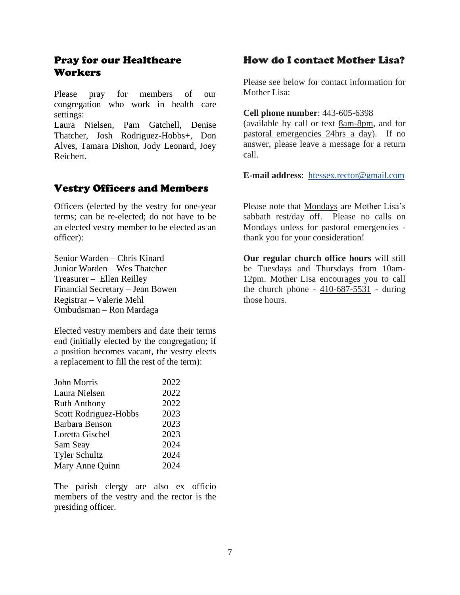## Pray for our Healthcare Workers

Please pray for members of our congregation who work in health care settings:

Laura Nielsen, Pam Gatchell, Denise Thatcher, Josh Rodriguez-Hobbs+, Don Alves, Tamara Dishon, Jody Leonard, Joey Reichert.

## Vestry Officers and Members

Officers (elected by the vestry for one-year terms; can be re-elected; do not have to be an elected vestry member to be elected as an officer):

Senior Warden – Chris Kinard Junior Warden – Wes Thatcher Treasurer – Ellen Reilley Financial Secretary – Jean Bowen Registrar – Valerie Mehl Ombudsman – Ron Mardaga

Elected vestry members and date their terms end (initially elected by the congregation; if a position becomes vacant, the vestry elects a replacement to fill the rest of the term):

| John Morris           | 2022 |
|-----------------------|------|
| Laura Nielsen         | 2022 |
| <b>Ruth Anthony</b>   | 2022 |
| Scott Rodriguez-Hobbs | 2023 |
| Barbara Benson        | 2023 |
| Loretta Gischel       | 2023 |
| Sam Seay              | 2024 |
| <b>Tyler Schultz</b>  | 2024 |
| Mary Anne Quinn       | 2024 |
|                       |      |

The parish clergy are also ex officio members of the vestry and the rector is the presiding officer.

## How do I contact Mother Lisa?

Please see below for contact information for Mother Lisa:

**Cell phone number**: 443-605-6398

(available by call or text 8am-8pm, and for pastoral emergencies 24hrs a day). If no answer, please leave a message for a return call.

**E-mail address**: [htessex.rector@gmail.com](mailto:htessex.rector@gmail.com)

Please note that Mondays are Mother Lisa's sabbath rest/day off. Please no calls on Mondays unless for pastoral emergencies thank you for your consideration!

**Our regular church office hours** will still be Tuesdays and Thursdays from 10am-12pm. Mother Lisa encourages you to call the church phone  $-410-687-5531$  - during those hours.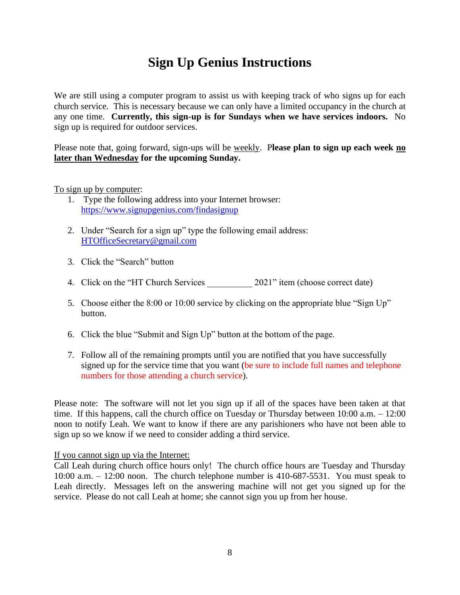## **Sign Up Genius Instructions**

We are still using a computer program to assist us with keeping track of who signs up for each church service. This is necessary because we can only have a limited occupancy in the church at any one time. **Currently, this sign-up is for Sundays when we have services indoors.** No sign up is required for outdoor services.

Please note that, going forward, sign-ups will be weekly. P**lease plan to sign up each week no later than Wednesday for the upcoming Sunday.**

To sign up by computer:

- 1. Type the following address into your Internet browser: <https://www.signupgenius.com/findasignup>
- 2. Under "Search for a sign up" type the following email address: [HTOfficeSecretary@gmail.com](mailto:HTOfficeSecretary@gmail.com)
- 3. Click the "Search" button
- 4. Click on the "HT Church Services 2021" item (choose correct date)
- 5. Choose either the 8:00 or 10:00 service by clicking on the appropriate blue "Sign Up" button.
- 6. Click the blue "Submit and Sign Up" button at the bottom of the page.
- 7. Follow all of the remaining prompts until you are notified that you have successfully signed up for the service time that you want (be sure to include full names and telephone numbers for those attending a church service).

Please note: The software will not let you sign up if all of the spaces have been taken at that time. If this happens, call the church office on Tuesday or Thursday between 10:00 a.m. – 12:00 noon to notify Leah. We want to know if there are any parishioners who have not been able to sign up so we know if we need to consider adding a third service.

If you cannot sign up via the Internet:

Call Leah during church office hours only! The church office hours are Tuesday and Thursday 10:00 a.m. – 12:00 noon. The church telephone number is 410-687-5531. You must speak to Leah directly. Messages left on the answering machine will not get you signed up for the service. Please do not call Leah at home; she cannot sign you up from her house.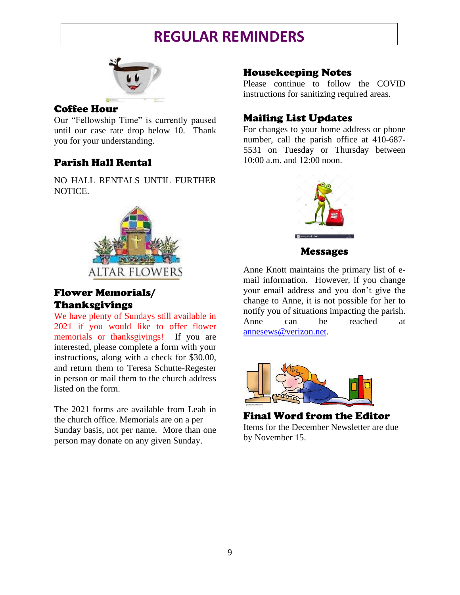## **REGULAR REMINDERS**



### Coffee Hour

Our "Fellowship Time" is currently paused until our case rate drop below 10. Thank you for your understanding.

## Parish Hall Rental

NO HALL RENTALS UNTIL FURTHER NOTICE.



## Flower Memorials/ Thanksgivings

We have plenty of Sundays still available in 2021 if you would like to offer flower memorials or thanksgivings! If you are interested, please complete a form with your instructions, along with a check for \$30.00, and return them to Teresa Schutte-Regester in person or mail them to the church address listed on the form.

The 2021 forms are available from Leah in the church office. Memorials are on a per Sunday basis, not per name. More than one person may donate on any given Sunday.

## Housekeeping Notes

Please continue to follow the COVID instructions for sanitizing required areas.

## Mailing List Updates

For changes to your home address or phone number, call the parish office at 410-687- 5531 on Tuesday or Thursday between 10:00 a.m. and 12:00 noon.



Messages

Anne Knott maintains the primary list of email information. However, if you change your email address and you don't give the change to Anne, it is not possible for her to notify you of situations impacting the parish. Anne can be reached at [annesews@verizon.net.](mailto:annesews@verizon.net)



Final Word from the Editor Items for the December Newsletter are due by November 15.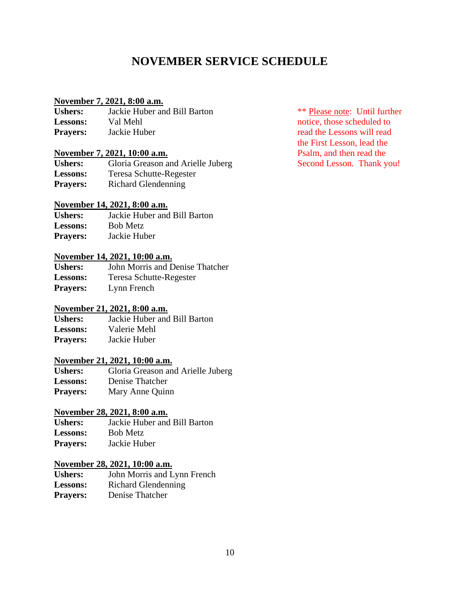## **NOVEMBER SERVICE SCHEDULE**

#### **November 7, 2021, 8:00 a.m.**

| <b>Ushers:</b>  | Jackie Huber and Bill Barton |
|-----------------|------------------------------|
| <b>Lessons:</b> | Val Mehl                     |
| <b>Prayers:</b> | Jackie Huber                 |

#### **November 7, 2021, 10:00 a.m.** Psalm, and then read the

| <b>Ushers:</b>  | Gloria Greason and Arielle Juberg |
|-----------------|-----------------------------------|
| <b>Lessons:</b> | <b>Teresa Schutte-Regester</b>    |
| <b>Prayers:</b> | Richard Glendenning               |

#### **November 14, 2021, 8:00 a.m.**

| <b>Ushers:</b>  | Jackie Huber and Bill Barton |
|-----------------|------------------------------|
| <b>Lessons:</b> | <b>Bob Metz</b>              |
| <b>Prayers:</b> | Jackie Huber                 |

#### **November 14, 2021, 10:00 a.m.**

| <b>Ushers:</b>  | John Morris and Denise Thatcher |
|-----------------|---------------------------------|
| <b>Lessons:</b> | <b>Teresa Schutte-Regester</b>  |
| <b>Prayers:</b> | Lynn French                     |

#### **November 21, 2021, 8:00 a.m.**

**Ushers:** Jackie Huber and Bill Barton **Lessons:** Valerie Mehl **Prayers:** Jackie Huber

## **November 21, 2021, 10:00 a.m.**<br>**Ushers:** Gloria Greason and

**Ushers:** Gloria Greason and Arielle Juberg **Lessons:** Denise Thatcher **Prayers:** Mary Anne Quinn

## **November 28, 2021, 8:00 a.m.**<br>**Ushers:** Jackie Huber and

**Jackie Huber and Bill Barton Lessons:** Bob Metz **Prayers:** Jackie Huber

#### **November 28, 2021, 10:00 a.m.**

**Ushers:** John Morris and Lynn French **Lessons:** Richard Glendenning **Prayers:** Denise Thatcher

\*\* Please note: Until further notice, those scheduled to read the Lessons will read the First Lesson, lead the Second Lesson. Thank you!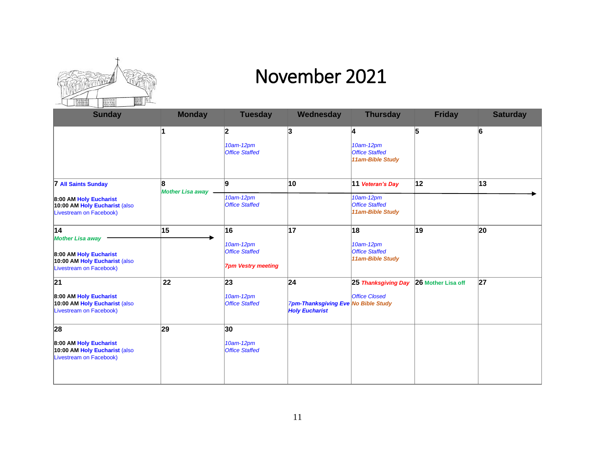

# November 2021

| <b>Sunday</b>                                                                                                       | <b>Monday</b>                | <b>Tuesday</b>                                                        | Wednesday                                                    | <b>Thursday</b>                                              | <b>Friday</b>      | <b>Saturday</b> |
|---------------------------------------------------------------------------------------------------------------------|------------------------------|-----------------------------------------------------------------------|--------------------------------------------------------------|--------------------------------------------------------------|--------------------|-----------------|
|                                                                                                                     |                              | 12<br>10am-12pm<br><b>Office Staffed</b>                              | 3                                                            | 14<br>10am-12pm<br><b>Office Staffed</b><br>11am-Bible Study | 5                  | 6               |
| <b>7 All Saints Sunday</b>                                                                                          | 8<br><b>Mother Lisa away</b> | 9                                                                     | 10                                                           | 11 Veteran's Day                                             | 12                 | 13              |
| 8:00 AM Holy Eucharist<br>10:00 AM Holy Eucharist (also<br>Livestream on Facebook)                                  |                              | 10am-12pm<br><b>Office Staffed</b>                                    |                                                              | 10am-12pm<br><b>Office Staffed</b><br>11am-Bible Study       |                    |                 |
| 14<br><b>Mother Lisa away</b><br>8:00 AM Holy Eucharist<br>10:00 AM Holy Eucharist (also<br>Livestream on Facebook) | 15                           | 16<br>10am-12pm<br><b>Office Staffed</b><br><b>7pm Vestry meeting</b> | 17                                                           | 18<br>10am-12pm<br><b>Office Staffed</b><br>11am-Bible Study | 19                 | 20              |
| 21                                                                                                                  | 22                           | 23                                                                    | 24                                                           | 25 Thanksgiving Day                                          | 26 Mother Lisa off | 27              |
| 8:00 AM Holy Eucharist<br>10:00 AM Holy Eucharist (also<br>Livestream on Facebook)                                  |                              | 10am-12pm<br><b>Office Staffed</b>                                    | 7pm-Thanksgiving Eve No Bible Study<br><b>Holy Eucharist</b> | <b>Office Closed</b>                                         |                    |                 |
| 28                                                                                                                  | 29                           | 30                                                                    |                                                              |                                                              |                    |                 |
| 8:00 AM Holy Eucharist<br>10:00 AM Holy Eucharist (also<br>Livestream on Facebook)                                  |                              | 10am-12pm<br><b>Office Staffed</b>                                    |                                                              |                                                              |                    |                 |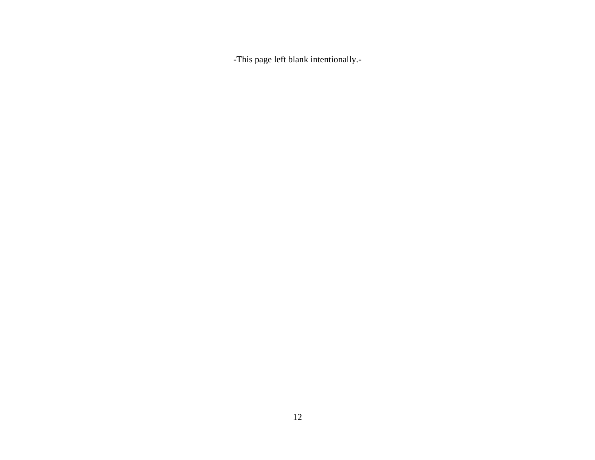-This page left blank intentionally.-